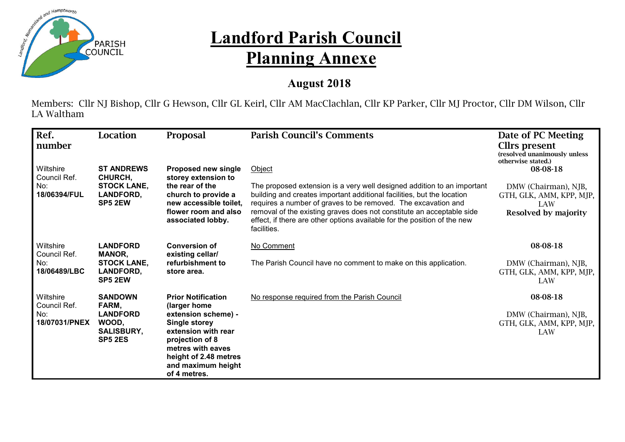

## **Landford Parish Council Planning Annexe**

## **August 2018**

Members: Cllr NJ Bishop, Cllr G Hewson, Cllr GL Keirl, Cllr AM MacClachlan, Cllr KP Parker, Cllr MJ Proctor, Cllr DM Wilson, Cllr LA Waltham

| Ref.<br>number                                    | Location                                                                                   | <b>Proposal</b>                                                                                                                                                                                                        | <b>Parish Council's Comments</b>                                                                                                                                                                                                                                                                                                                                                                 | Date of PC Meeting<br>Cllrs present<br>(resolved unanimously unless<br>otherwise stated.)          |
|---------------------------------------------------|--------------------------------------------------------------------------------------------|------------------------------------------------------------------------------------------------------------------------------------------------------------------------------------------------------------------------|--------------------------------------------------------------------------------------------------------------------------------------------------------------------------------------------------------------------------------------------------------------------------------------------------------------------------------------------------------------------------------------------------|----------------------------------------------------------------------------------------------------|
| Wiltshire<br>Council Ref.<br>No:<br>18/06394/FUL  | <b>ST ANDREWS</b><br>CHURCH,<br><b>STOCK LANE.</b><br><b>LANDFORD,</b><br>SP5 2EW          | <b>Proposed new single</b><br>storey extension to<br>the rear of the<br>church to provide a<br>new accessible toilet,<br>flower room and also<br>associated lobby.                                                     | Object<br>The proposed extension is a very well designed addition to an important<br>building and creates important additional facilities, but the location<br>requires a number of graves to be removed. The excavation and<br>removal of the existing graves does not constitute an acceptable side<br>effect, if there are other options available for the position of the new<br>facilities. | 08-08-18<br>DMW (Chairman), NJB,<br>GTH, GLK, AMM, KPP, MJP,<br>LAW<br><b>Resolved by majority</b> |
| Wiltshire<br>Council Ref.<br>No:<br>18/06489/LBC  | <b>LANDFORD</b><br><b>MANOR,</b><br><b>STOCK LANE,</b><br>LANDFORD,<br>SP5 2EW             | <b>Conversion of</b><br>existing cellar/<br>refurbishment to<br>store area.                                                                                                                                            | No Comment<br>The Parish Council have no comment to make on this application.                                                                                                                                                                                                                                                                                                                    | 08-08-18<br>DMW (Chairman), NJB,<br>GTH, GLK, AMM, KPP, MJP,<br>LAW                                |
| Wiltshire<br>Council Ref.<br>No:<br>18/07031/PNEX | <b>SANDOWN</b><br>FARM,<br><b>LANDFORD</b><br>WOOD,<br><b>SALISBURY,</b><br><b>SP5 2ES</b> | <b>Prior Notification</b><br>(larger home<br>extension scheme) -<br><b>Single storey</b><br>extension with rear<br>projection of 8<br>metres with eaves<br>height of 2.48 metres<br>and maximum height<br>of 4 metres. | No response required from the Parish Council                                                                                                                                                                                                                                                                                                                                                     | 08-08-18<br>DMW (Chairman), NJB,<br>GTH, GLK, AMM, KPP, MJP,<br><b>LAW</b>                         |